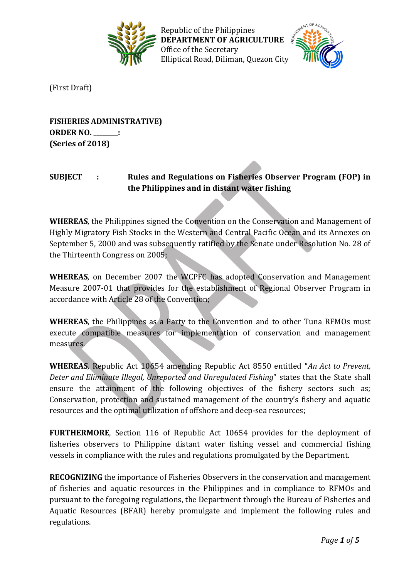

Republic of the Philippines **DEPARTMENT OF AGRICULTURE** Office of the Secretary Elliptical Road, Diliman, Quezon City



(First Draft)

**FISHERIES ADMINISTRATIVE) ORDER NO. \_\_\_\_\_\_\_\_: (Series of 2018)**

## **SUBJECT : Rules and Regulations on Fisheries Observer Program (FOP) in the Philippines and in distant water fishing**

**WHEREAS**, the Philippines signed the Convention on the Conservation and Management of Highly Migratory Fish Stocks in the Western and Central Pacific Ocean and its Annexes on September 5, 2000 and was subsequently ratified by the Senate under Resolution No. 28 of the Thirteenth Congress on 2005;

**WHEREAS**, on December 2007 the WCPFC has adopted Conservation and Management Measure 2007-01 that provides for the establishment of Regional Observer Program in accordance with Article 28 of the Convention;

**WHEREAS**, the Philippines as a Party to the Convention and to other Tuna RFMOs must execute compatible measures for implementation of conservation and management measures.

**WHEREAS**, Republic Act 10654 amending Republic Act 8550 entitled "*An Act to Prevent, Deter and Eliminate Illegal, Unreported and Unregulated Fishing*" states that the State shall ensure the attainment of the following objectives of the fishery sectors such as; Conservation, protection and sustained management of the country's fishery and aquatic resources and the optimal utilization of offshore and deep-sea resources;

**FURTHERMORE**, Section 116 of Republic Act 10654 provides for the deployment of fisheries observers to Philippine distant water fishing vessel and commercial fishing vessels in compliance with the rules and regulations promulgated by the Department.

**RECOGNIZING** the importance of Fisheries Observers in the conservation and management of fisheries and aquatic resources in the Philippines and in compliance to RFMOs and pursuant to the foregoing regulations, the Department through the Bureau of Fisheries and Aquatic Resources (BFAR) hereby promulgate and implement the following rules and regulations.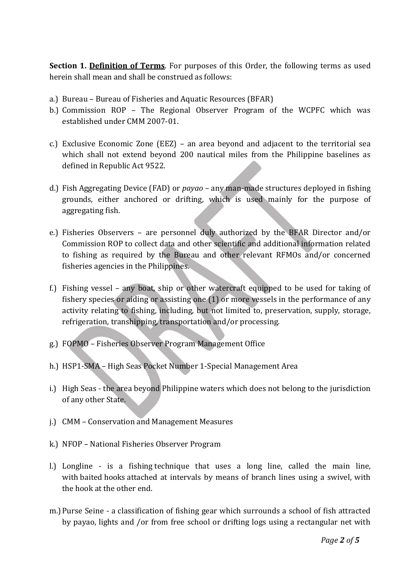**Section 1. Definition of Terms**. For purposes of this Order, the following terms as used herein shall mean and shall be construed as follows:

- a.) Bureau Bureau of Fisheries and Aquatic Resources (BFAR)
- b.) Commission ROP The Regional Observer Program of the WCPFC which was established under CMM 2007-01.
- c.) Exclusive Economic Zone (EEZ) an area beyond and adjacent to the territorial sea which shall not extend beyond 200 nautical miles from the Philippine baselines as defined in Republic Act 9522.
- d.) Fish Aggregating Device (FAD) or *payao* any man-made structures deployed in fishing grounds, either anchored or drifting, which is used mainly for the purpose of aggregating fish.
- e.) Fisheries Observers are personnel duly authorized by the BFAR Director and/or Commission ROP to collect data and other scientific and additional information related to fishing as required by the Bureau and other relevant RFMOs and/or concerned fisheries agencies in the Philippines.
- f.) Fishing vessel any boat, ship or other watercraft equipped to be used for taking of fishery species or aiding or assisting one (1) or more vessels in the performance of any activity relating to fishing, including, but not limited to, preservation, supply, storage, refrigeration, transhipping, transportation and/or processing.
- g.) FOPMO Fisheries Observer Program Management Office
- h.) HSP1-SMA High Seas Pocket Number 1-Special Management Area
- i.) High Seas the area beyond Philippine waters which does not belong to the jurisdiction of any other State.
- j.) CMM Conservation and Management Measures
- k.) NFOP National Fisheries Observer Program
- l.) Longline is a [fishing](http://en.wikipedia.org/wiki/Fishing) technique that uses a long line, called the main line, with [baited](http://en.wikipedia.org/wiki/Fish_bait) [hooks](http://en.wikipedia.org/wiki/Fish_hook) attached at intervals by means of branch lines using a swivel, with the hook at the other end.
- m.)Purse Seine a classification of fishing gear which surrounds a school of fish attracted by payao, lights and /or from free school or drifting logs using a rectangular net with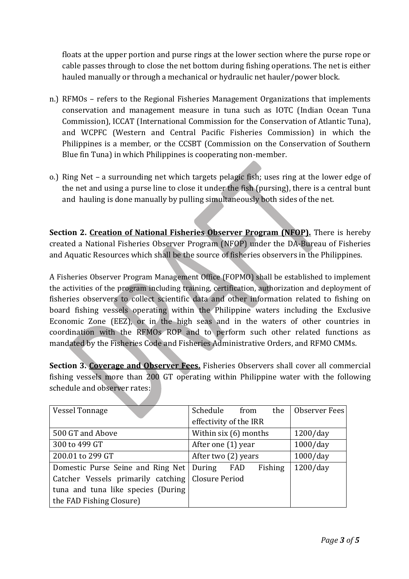floats at the upper portion and purse rings at the lower section where the purse rope or cable passes through to close the net bottom during fishing operations. The net is either hauled manually or through a mechanical or hydraulic net hauler/power block.

- n.) RFMOs refers to the Regional Fisheries Management Organizations that implements conservation and management measure in tuna such as IOTC (Indian Ocean Tuna Commission), ICCAT (International Commission for the Conservation of Atlantic Tuna), and WCPFC (Western and Central Pacific Fisheries Commission) in which the Philippines is a member, or the CCSBT (Commission on the Conservation of Southern Blue fin Tuna) in which Philippines is cooperating non-member.
- o.) Ring Net a surrounding net which targets pelagic fish; uses ring at the lower edge of the net and using a purse line to close it under the fish (pursing), there is a central bunt and hauling is done manually by pulling simultaneously both sides of the net.

**Section 2. Creation of National Fisheries Observer Program (NFOP).** There is hereby created a National Fisheries Observer Program (NFOP) under the DA-Bureau of Fisheries and Aquatic Resources which shall be the source of fisheries observers in the Philippines.

A Fisheries Observer Program Management Office (FOPMO) shall be established to implement the activities of the program including training, certification, authorization and deployment of fisheries observers to collect scientific data and other information related to fishing on board fishing vessels operating within the Philippine waters including the Exclusive Economic Zone (EEZ), or in the high seas and in the waters of other countries in coordination with the RFMOs ROP and to perform such other related functions as mandated by the Fisheries Code and Fisheries Administrative Orders, and RFMO CMMs.

**Section 3. Coverage and Observer Fees.** Fisheries Observers shall cover all commercial fishing vessels more than 200 GT operating within Philippine water with the following schedule and observer rates:

| <b>Vessel Tonnage</b>                               | Schedule from<br>the              | Observer Fees |
|-----------------------------------------------------|-----------------------------------|---------------|
|                                                     | effectivity of the IRR            |               |
| 500 GT and Above                                    | Within six (6) months<br>1200/day |               |
| 300 to 499 GT                                       | 1000/day<br>After one (1) year    |               |
| 200.01 to 299 GT                                    | After two (2) years               | $1000$ /day   |
| Domestic Purse Seine and Ring Net   During          | Fishing<br>FAD                    | 1200/day      |
| Catcher Vessels primarily catching   Closure Period |                                   |               |
| tuna and tuna like species (During                  |                                   |               |
| the FAD Fishing Closure)                            |                                   |               |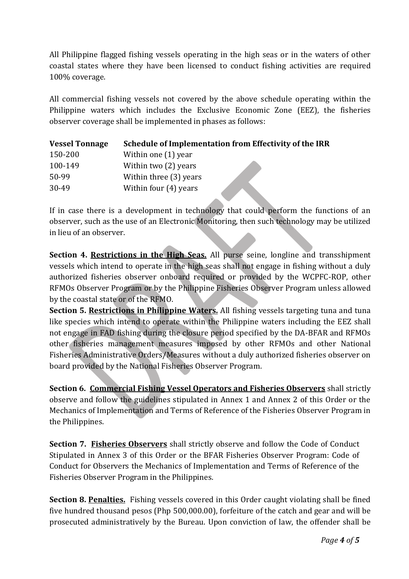All Philippine flagged fishing vessels operating in the high seas or in the waters of other coastal states where they have been licensed to conduct fishing activities are required 100% coverage.

All commercial fishing vessels not covered by the above schedule operating within the Philippine waters which includes the Exclusive Economic Zone (EEZ), the fisheries observer coverage shall be implemented in phases as follows:

| <b>Vessel Tonnage</b> | Schedule of Implementation from Effectivity of the IRR |
|-----------------------|--------------------------------------------------------|
| 150-200               | Within one $(1)$ year                                  |
| 100-149               | Within two (2) years                                   |
| 50-99                 | Within three (3) years                                 |
| 30-49                 | Within four (4) years                                  |

If in case there is a development in technology that could perform the functions of an observer, such as the use of an Electronic Monitoring, then such technology may be utilized in lieu of an observer.

**Section 4. Restrictions in the High Seas.** All purse seine, longline and transshipment vessels which intend to operate in the high seas shall not engage in fishing without a duly authorized fisheries observer onboard required or provided by the WCPFC-ROP, other RFMOs Observer Program or by the Philippine Fisheries Observer Program unless allowed by the coastal state or of the RFMO.

**Section 5. Restrictions in Philippine Waters.** All fishing vessels targeting tuna and tuna like species which intend to operate within the Philippine waters including the EEZ shall not engage in FAD fishing during the closure period specified by the DA-BFAR and RFMOs other fisheries management measures imposed by other RFMOs and other National Fisheries Administrative Orders/Measures without a duly authorized fisheries observer on board provided by the National Fisheries Observer Program.

**Section 6. Commercial Fishing Vessel Operators and Fisheries Observers** shall strictly observe and follow the guidelines stipulated in Annex 1 and Annex 2 of this Order or the Mechanics of Implementation and Terms of Reference of the Fisheries Observer Program in the Philippines.

**Section 7. Fisheries Observers** shall strictly observe and follow the Code of Conduct Stipulated in Annex 3 of this Order or the BFAR Fisheries Observer Program: Code of Conduct for Observers the Mechanics of Implementation and Terms of Reference of the Fisheries Observer Program in the Philippines.

**Section 8. Penalties.** Fishing vessels covered in this Order caught violating shall be fined five hundred thousand pesos (Php 500,000.00), forfeiture of the catch and gear and will be prosecuted administratively by the Bureau. Upon conviction of law, the offender shall be